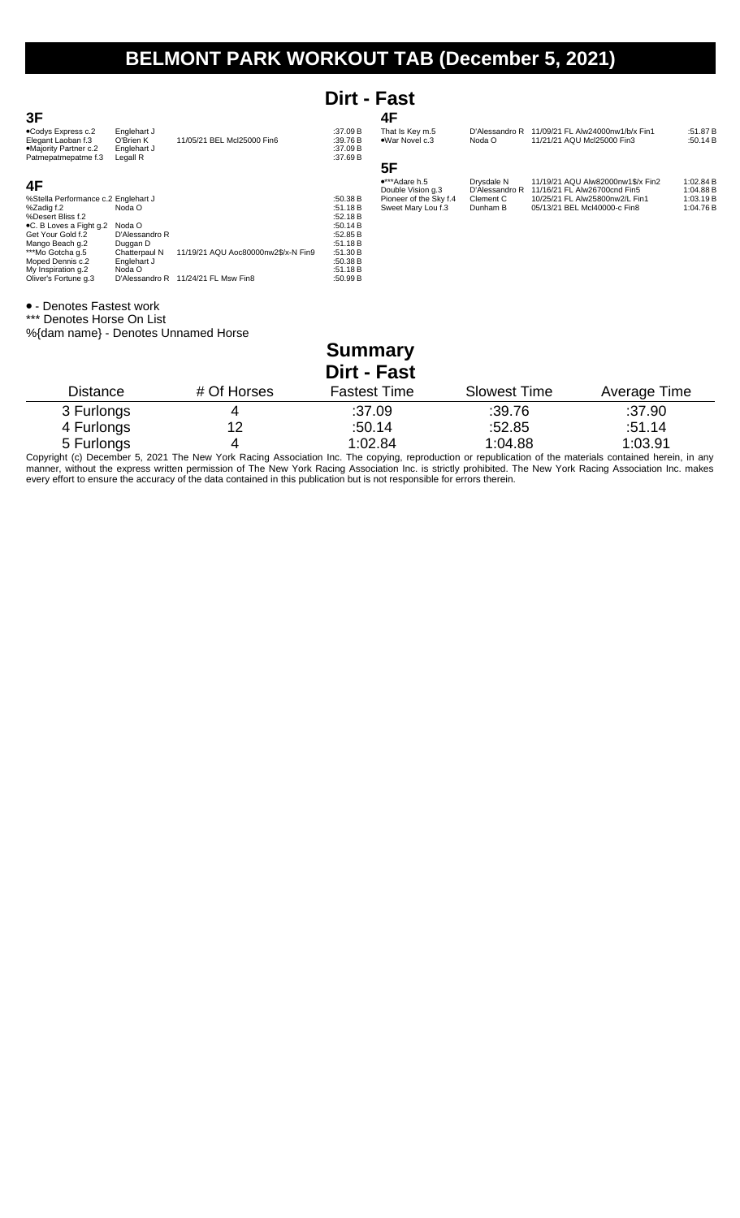## **Dirt - Fast**

| 3F                                                                                       |                                                     |                                     |                                                | 4F                                          |                              |                                                                   |                        |
|------------------------------------------------------------------------------------------|-----------------------------------------------------|-------------------------------------|------------------------------------------------|---------------------------------------------|------------------------------|-------------------------------------------------------------------|------------------------|
| .Codys Express c.2<br>Elegant Laoban f.3<br>•Majority Partner c.2<br>Patmepatmepatme f.3 | Englehart J<br>O'Brien K<br>Englehart J<br>Legall R | 11/05/21 BEL Mcl25000 Fin6          | :37.09 B<br>:39.76 $B$<br>:37.09 B<br>:37.69 B | That Is Key m.5<br>•War Novel c.3           | D'Alessandro R<br>Noda O     | 11/09/21 FL Alw24000nw1/b/x Fin1<br>11/21/21 AQU Mcl25000 Fin3    | :51.87 B<br>:50.14 $B$ |
|                                                                                          |                                                     |                                     |                                                | 5F                                          |                              |                                                                   |                        |
| 4F                                                                                       |                                                     |                                     |                                                | $\bullet$ ***Adare h.5<br>Double Vision g.3 | Drysdale N<br>D'Alessandro R | 11/19/21 AQU Alw82000nw1\$/x Fin2<br>11/16/21 FL Alw26700cnd Fin5 | 1:02.84 B<br>1:04.88 B |
| %Stella Performance c.2 Englehart J                                                      |                                                     |                                     | :50.38 B                                       | Pioneer of the Sky f.4                      | Clement C                    | 10/25/21 FL Alw25800nw2/L Fin1                                    | 1:03.19 B              |
| %Zadig f.2<br>%Desert Bliss f.2                                                          | Noda O                                              |                                     | :51.18B<br>:52.18B                             | Sweet Mary Lou f.3                          | Dunham B                     | 05/13/21 BEL McI40000-c Fin8                                      | 1:04.76 B              |
| ●C. B Loves a Fight g.2                                                                  | Noda O                                              |                                     | :50.14 $B$                                     |                                             |                              |                                                                   |                        |
| Get Your Gold f.2                                                                        | D'Alessandro R                                      |                                     | :52.85 B                                       |                                             |                              |                                                                   |                        |
| Mango Beach g.2<br>***Mo Gotcha q.5                                                      | Duggan D<br>Chatterpaul N                           | 11/19/21 AQU Aoc80000nw2\$/x-N Fin9 | :51.18 B<br>:51.30 B                           |                                             |                              |                                                                   |                        |
| Moped Dennis c.2                                                                         | Englehart J                                         |                                     | :50.38 B                                       |                                             |                              |                                                                   |                        |
| My Inspiration g.2                                                                       | Noda O                                              |                                     | :51.18 B                                       |                                             |                              |                                                                   |                        |
| Oliver's Fortune q.3                                                                     | D'Alessandro R                                      | 11/24/21 FL Msw Fin8                | :50.99 B                                       |                                             |                              |                                                                   |                        |

- Denotes Fastest work

\*\*\* Denotes Horse On List

%{dam name} - Denotes Unnamed Horse

## **Summary Dirt - Fast**

| Distance   | # Of Horses | <b>Fastest Time</b> | <b>Slowest Time</b> | Average Time |
|------------|-------------|---------------------|---------------------|--------------|
| 3 Furlongs |             | :37.09              | :39.76              | :37.90       |
| 4 Furlongs | 12          | :50.14              | :52.85              | :51.14       |
| 5 Furlongs | 4           | 1:02.84             | 1:04.88             | 1:03.91      |

Copyright (c) December 5, 2021 The New York Racing Association Inc. The copying, reproduction or republication of the materials contained herein, in any manner, without the express written permission of The New York Racing Association Inc. is strictly prohibited. The New York Racing Association Inc. makes every effort to ensure the accuracy of the data contained in this publication but is not responsible for errors therein.

## **3F**